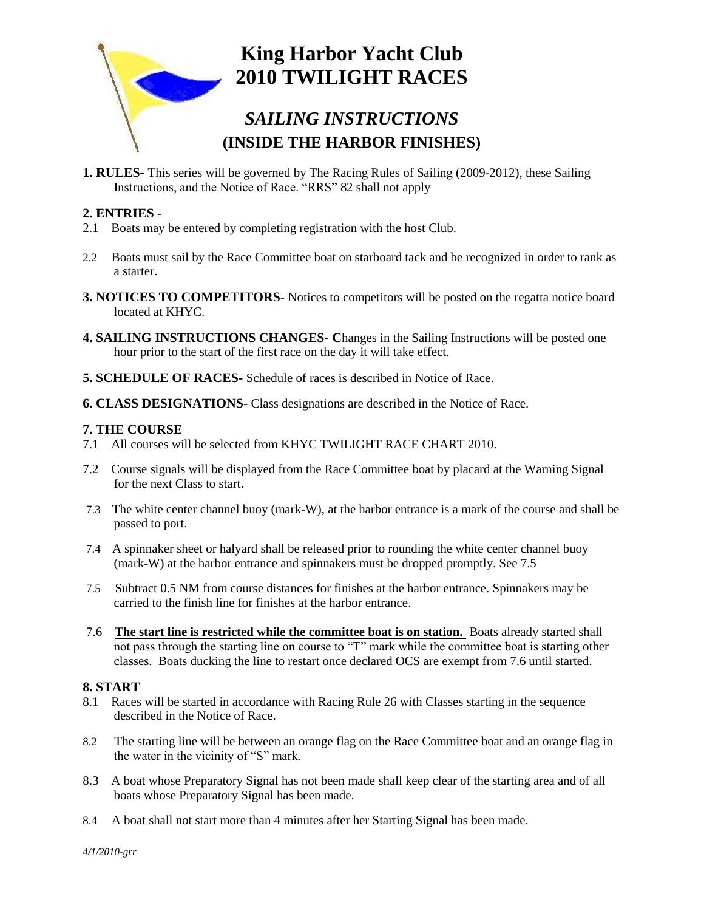

**1. RULES-** This series will be governed by The Racing Rules of Sailing (2009-2012), these Sailing Instructions, and the Notice of Race. "RRS" 82 shall not apply

# **2. ENTRIES -**

- 2.1 Boats may be entered by completing registration with the host Club.
- 2.2 Boats must sail by the Race Committee boat on starboard tack and be recognized in order to rank as a starter.
- **3. NOTICES TO COMPETITORS-** Notices to competitors will be posted on the regatta notice board located at KHYC.
- **4. SAILING INSTRUCTIONS CHANGES- C**hanges in the Sailing Instructions will be posted one hour prior to the start of the first race on the day it will take effect.
- **5. SCHEDULE OF RACES-** Schedule of races is described in Notice of Race.
- **6. CLASS DESIGNATIONS-** Class designations are described in the Notice of Race.

#### **7. THE COURSE**

- 7.1 All courses will be selected from KHYC TWILIGHT RACE CHART 2010.
- 7.2 Course signals will be displayed from the Race Committee boat by placard at the Warning Signal for the next Class to start.
- 7.3 The white center channel buoy (mark-W), at the harbor entrance is a mark of the course and shall be passed to port.
- 7.4 A spinnaker sheet or halyard shall be released prior to rounding the white center channel buoy (mark-W) at the harbor entrance and spinnakers must be dropped promptly. See 7.5
- 7.5 Subtract 0.5 NM from course distances for finishes at the harbor entrance. Spinnakers may be carried to the finish line for finishes at the harbor entrance.
- 7.6 **The start line is restricted while the committee boat is on station.** Boats already started shall not pass through the starting line on course to "T" mark while the committee boat is starting other classes. Boats ducking the line to restart once declared OCS are exempt from 7.6 until started.

#### **8. START**

- 8.1 Races will be started in accordance with Racing Rule 26 with Classes starting in the sequence described in the Notice of Race.
- 8.2 The starting line will be between an orange flag on the Race Committee boat and an orange flag in the water in the vicinity of "S" mark.
- 8.3 A boat whose Preparatory Signal has not been made shall keep clear of the starting area and of all boats whose Preparatory Signal has been made.
- 8.4 A boat shall not start more than 4 minutes after her Starting Signal has been made.